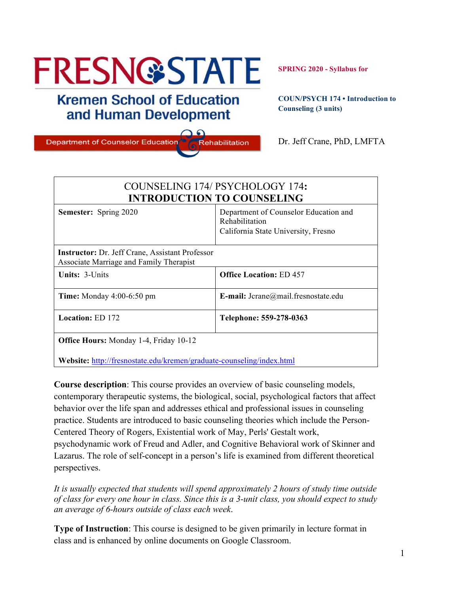# **FRESN@STATE**

# **Kremen School of Education** and Human Development

**Department of Counselor Education** 

**SPRING 2020 - Syllabus for**

**COUN/PSYCH 174 • Introduction to Counseling (3 units)**

Dr. Jeff Crane, PhD, LMFTA

| COUNSELING 174/ PSYCHOLOGY 174:<br><b>INTRODUCTION TO COUNSELING</b>                              |                                                                                                |  |
|---------------------------------------------------------------------------------------------------|------------------------------------------------------------------------------------------------|--|
| <b>Semester:</b> Spring 2020                                                                      | Department of Counselor Education and<br>Rehabilitation<br>California State University, Fresno |  |
| <b>Instructor:</b> Dr. Jeff Crane, Assistant Professor<br>Associate Marriage and Family Therapist |                                                                                                |  |
| <b>Units: 3-Units</b>                                                                             | <b>Office Location: ED 457</b>                                                                 |  |
| <b>Time:</b> Monday 4:00-6:50 pm                                                                  | E-mail: $\text{Jcra}(\partial)$ mail.fresnostate.edu                                           |  |
| <b>Location: ED 172</b>                                                                           | Telephone: 559-278-0363                                                                        |  |
| <b>Office Hours:</b> Monday 1-4, Friday 10-12                                                     |                                                                                                |  |

Rehabilitation

**Website:** http://fresnostate.edu/kremen/graduate-counseling/index.html

**Course description**: This course provides an overview of basic counseling models, contemporary therapeutic systems, the biological, social, psychological factors that affect behavior over the life span and addresses ethical and professional issues in counseling practice. Students are introduced to basic counseling theories which include the Person-Centered Theory of Rogers, Existential work of May, Perls' Gestalt work, psychodynamic work of Freud and Adler, and Cognitive Behavioral work of Skinner and Lazarus. The role of self-concept in a person's life is examined from different theoretical perspectives.

*It is usually expected that students will spend approximately 2 hours of study time outside of class for every one hour in class. Since this is a 3-unit class, you should expect to study an average of 6-hours outside of class each week*.

**Type of Instruction**: This course is designed to be given primarily in lecture format in class and is enhanced by online documents on Google Classroom.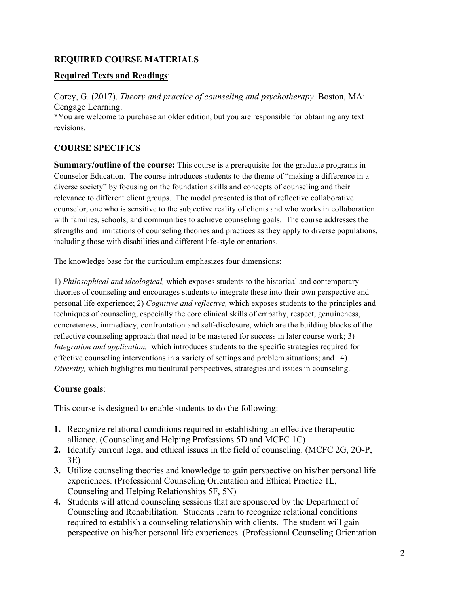#### **REQUIRED COURSE MATERIALS**

#### **Required Texts and Readings**:

Corey, G. (2017). *Theory and practice of counseling and psychotherapy*. Boston, MA: Cengage Learning. \*You are welcome to purchase an older edition, but you are responsible for obtaining any text revisions.

## **COURSE SPECIFICS**

**Summary/outline of the course:** This course is a prerequisite for the graduate programs in Counselor Education. The course introduces students to the theme of "making a difference in a diverse society" by focusing on the foundation skills and concepts of counseling and their relevance to different client groups. The model presented is that of reflective collaborative counselor, one who is sensitive to the subjective reality of clients and who works in collaboration with families, schools, and communities to achieve counseling goals. The course addresses the strengths and limitations of counseling theories and practices as they apply to diverse populations, including those with disabilities and different life-style orientations.

The knowledge base for the curriculum emphasizes four dimensions:

1) *Philosophical and ideological,* which exposes students to the historical and contemporary theories of counseling and encourages students to integrate these into their own perspective and personal life experience; 2) *Cognitive and reflective,* which exposes students to the principles and techniques of counseling, especially the core clinical skills of empathy, respect, genuineness, concreteness, immediacy, confrontation and self-disclosure, which are the building blocks of the reflective counseling approach that need to be mastered for success in later course work; 3) *Integration and application,* which introduces students to the specific strategies required for effective counseling interventions in a variety of settings and problem situations; and 4) *Diversity,* which highlights multicultural perspectives, strategies and issues in counseling.

#### **Course goals**:

This course is designed to enable students to do the following:

- **1.** Recognize relational conditions required in establishing an effective therapeutic alliance. (Counseling and Helping Professions 5D and MCFC 1C)
- **2.** Identify current legal and ethical issues in the field of counseling. (MCFC 2G, 2O-P, 3E)
- **3.** Utilize counseling theories and knowledge to gain perspective on his/her personal life experiences. (Professional Counseling Orientation and Ethical Practice 1L, Counseling and Helping Relationships 5F, 5N)
- **4.** Students will attend counseling sessions that are sponsored by the Department of Counseling and Rehabilitation. Students learn to recognize relational conditions required to establish a counseling relationship with clients. The student will gain perspective on his/her personal life experiences. (Professional Counseling Orientation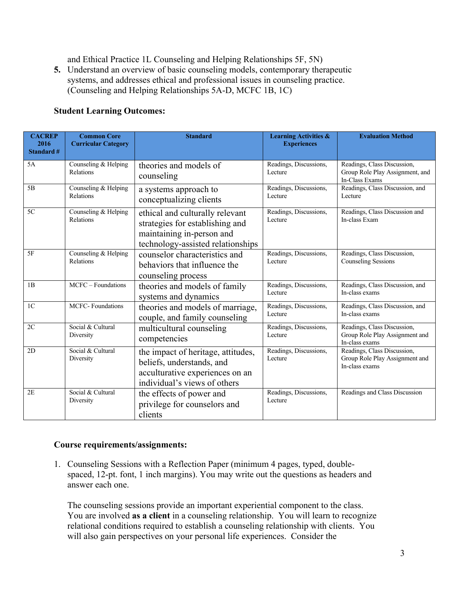and Ethical Practice 1L Counseling and Helping Relationships 5F, 5N)

**5.** Understand an overview of basic counseling models, contemporary therapeutic systems, and addresses ethical and professional issues in counseling practice. (Counseling and Helping Relationships 5A-D, MCFC 1B, 1C)

| <b>Student Learning Outcomes:</b> |  |  |
|-----------------------------------|--|--|
|-----------------------------------|--|--|

| <b>CACREP</b><br>2016<br><b>Standard #</b> | <b>Common Core</b><br><b>Curricular Category</b> | <b>Standard</b>                                                                                                                      | <b>Learning Activities &amp;</b><br><b>Experiences</b> | <b>Evaluation Method</b>                                                         |
|--------------------------------------------|--------------------------------------------------|--------------------------------------------------------------------------------------------------------------------------------------|--------------------------------------------------------|----------------------------------------------------------------------------------|
| 5A                                         | Counseling & Helping<br>Relations                | theories and models of<br>counseling                                                                                                 | Readings, Discussions,<br>Lecture                      | Readings, Class Discussion,<br>Group Role Play Assignment, and<br>In-Class Exams |
| 5B                                         | Counseling & Helping<br>Relations                | a systems approach to<br>conceptualizing clients                                                                                     | Readings, Discussions,<br>Lecture                      | Readings, Class Discussion, and<br>Lecture                                       |
| 5C                                         | Counseling & Helping<br>Relations                | ethical and culturally relevant<br>strategies for establishing and<br>maintaining in-person and<br>technology-assisted relationships | Readings, Discussions,<br>Lecture                      | Readings, Class Discussion and<br>In-class Exam                                  |
| 5F                                         | Counseling & Helping<br>Relations                | counselor characteristics and<br>behaviors that influence the<br>counseling process                                                  | Readings, Discussions,<br>Lecture                      | Readings, Class Discussion,<br><b>Counseling Sessions</b>                        |
| 1B                                         | MCFC - Foundations                               | theories and models of family<br>systems and dynamics                                                                                | Readings, Discussions,<br>Lecture                      | Readings, Class Discussion, and<br>In-class exams                                |
| 1 <sup>C</sup>                             | <b>MCFC-Foundations</b>                          | theories and models of marriage,<br>couple, and family counseling                                                                    | Readings, Discussions,<br>Lecture                      | Readings, Class Discussion, and<br>In-class exams                                |
| 2C                                         | Social & Cultural<br>Diversity                   | multicultural counseling<br>competencies                                                                                             | Readings, Discussions,<br>Lecture                      | Readings, Class Discussion,<br>Group Role Play Assignment and<br>In-class exams  |
| 2D                                         | Social & Cultural<br>Diversity                   | the impact of heritage, attitudes,<br>beliefs, understands, and<br>acculturative experiences on an<br>individual's views of others   | Readings, Discussions,<br>Lecture                      | Readings, Class Discussion,<br>Group Role Play Assignment and<br>In-class exams  |
| 2E                                         | Social & Cultural<br>Diversity                   | the effects of power and<br>privilege for counselors and<br>clients                                                                  | Readings, Discussions,<br>Lecture                      | Readings and Class Discussion                                                    |

#### **Course requirements/assignments:**

1. Counseling Sessions with a Reflection Paper (minimum 4 pages, typed, doublespaced, 12-pt. font, 1 inch margins). You may write out the questions as headers and answer each one.

The counseling sessions provide an important experiential component to the class. You are involved **as a client** in a counseling relationship. You will learn to recognize relational conditions required to establish a counseling relationship with clients. You will also gain perspectives on your personal life experiences. Consider the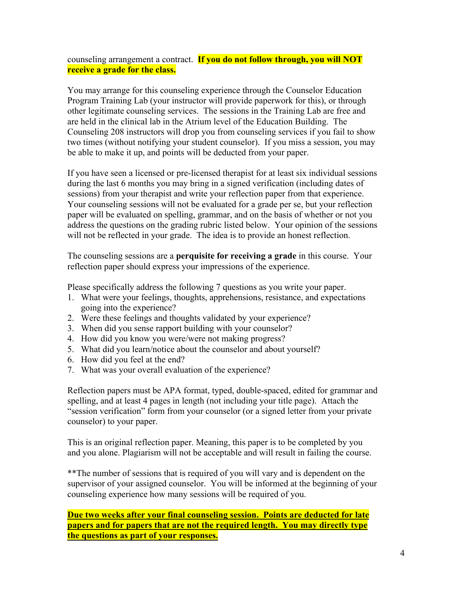counseling arrangement a contract. **If you do not follow through, you will NOT receive a grade for the class.**

You may arrange for this counseling experience through the Counselor Education Program Training Lab (your instructor will provide paperwork for this), or through other legitimate counseling services. The sessions in the Training Lab are free and are held in the clinical lab in the Atrium level of the Education Building. The Counseling 208 instructors will drop you from counseling services if you fail to show two times (without notifying your student counselor). If you miss a session, you may be able to make it up, and points will be deducted from your paper.

If you have seen a licensed or pre-licensed therapist for at least six individual sessions during the last 6 months you may bring in a signed verification (including dates of sessions) from your therapist and write your reflection paper from that experience. Your counseling sessions will not be evaluated for a grade per se, but your reflection paper will be evaluated on spelling, grammar, and on the basis of whether or not you address the questions on the grading rubric listed below. Your opinion of the sessions will not be reflected in your grade. The idea is to provide an honest reflection.

The counseling sessions are a **perquisite for receiving a grade** in this course. Your reflection paper should express your impressions of the experience.

Please specifically address the following 7 questions as you write your paper.

- 1. What were your feelings, thoughts, apprehensions, resistance, and expectations going into the experience?
- 2. Were these feelings and thoughts validated by your experience?
- 3. When did you sense rapport building with your counselor?
- 4. How did you know you were/were not making progress?
- 5. What did you learn/notice about the counselor and about yourself?
- 6. How did you feel at the end?
- 7. What was your overall evaluation of the experience?

Reflection papers must be APA format, typed, double-spaced, edited for grammar and spelling, and at least 4 pages in length (not including your title page). Attach the "session verification" form from your counselor (or a signed letter from your private counselor) to your paper.

This is an original reflection paper. Meaning, this paper is to be completed by you and you alone. Plagiarism will not be acceptable and will result in failing the course.

\*\*The number of sessions that is required of you will vary and is dependent on the supervisor of your assigned counselor. You will be informed at the beginning of your counseling experience how many sessions will be required of you.

**Due two weeks after your final counseling session. Points are deducted for late papers and for papers that are not the required length. You may directly type the questions as part of your responses.**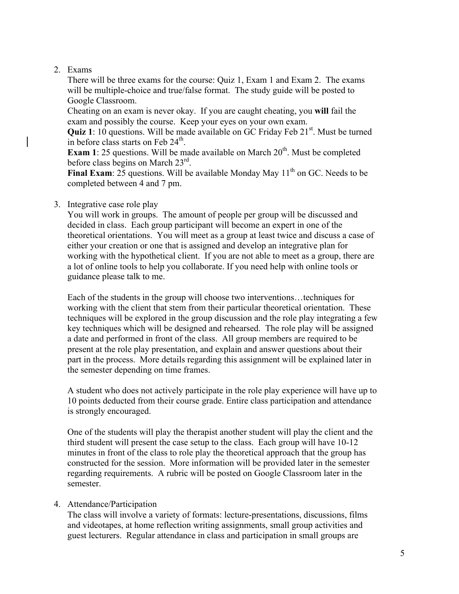#### 2. Exams

There will be three exams for the course: Quiz 1, Exam 1 and Exam 2. The exams will be multiple-choice and true/false format. The study guide will be posted to Google Classroom.

Cheating on an exam is never okay. If you are caught cheating, you **will** fail the exam and possibly the course. Keep your eyes on your own exam.

Quiz 1: 10 questions. Will be made available on GC Friday Feb 21<sup>st</sup>. Must be turned in before class starts on Feb  $24<sup>th</sup>$ .

**Exam 1**: 25 questions. Will be made available on March 20<sup>th</sup>. Must be completed before class begins on March 23rd.

**Final Exam**: 25 questions. Will be available Monday May 11<sup>th</sup> on GC. Needs to be completed between 4 and 7 pm.

#### 3. Integrative case role play

You will work in groups. The amount of people per group will be discussed and decided in class. Each group participant will become an expert in one of the theoretical orientations. You will meet as a group at least twice and discuss a case of either your creation or one that is assigned and develop an integrative plan for working with the hypothetical client. If you are not able to meet as a group, there are a lot of online tools to help you collaborate. If you need help with online tools or guidance please talk to me.

Each of the students in the group will choose two interventions…techniques for working with the client that stem from their particular theoretical orientation. These techniques will be explored in the group discussion and the role play integrating a few key techniques which will be designed and rehearsed. The role play will be assigned a date and performed in front of the class. All group members are required to be present at the role play presentation, and explain and answer questions about their part in the process. More details regarding this assignment will be explained later in the semester depending on time frames.

A student who does not actively participate in the role play experience will have up to 10 points deducted from their course grade. Entire class participation and attendance is strongly encouraged.

One of the students will play the therapist another student will play the client and the third student will present the case setup to the class. Each group will have 10-12 minutes in front of the class to role play the theoretical approach that the group has constructed for the session. More information will be provided later in the semester regarding requirements. A rubric will be posted on Google Classroom later in the semester.

#### 4. Attendance/Participation

The class will involve a variety of formats: lecture-presentations, discussions, films and videotapes, at home reflection writing assignments, small group activities and guest lecturers. Regular attendance in class and participation in small groups are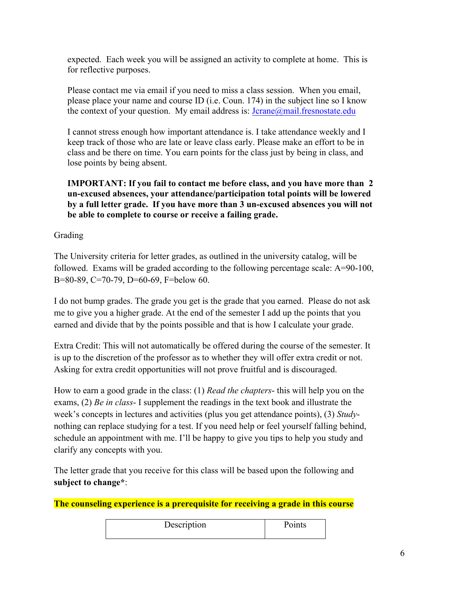expected. Each week you will be assigned an activity to complete at home. This is for reflective purposes.

Please contact me via email if you need to miss a class session. When you email, please place your name and course ID (i.e. Coun. 174) in the subject line so I know the context of your question. My email address is: Jcrane@mail.fresnostate.edu

I cannot stress enough how important attendance is. I take attendance weekly and I keep track of those who are late or leave class early. Please make an effort to be in class and be there on time. You earn points for the class just by being in class, and lose points by being absent.

**IMPORTANT: If you fail to contact me before class, and you have more than 2 un-excused absences, your attendance/participation total points will be lowered by a full letter grade. If you have more than 3 un-excused absences you will not be able to complete to course or receive a failing grade.**

Grading

The University criteria for letter grades, as outlined in the university catalog, will be followed. Exams will be graded according to the following percentage scale: A=90-100, B=80-89, C=70-79, D=60-69, F=below 60.

I do not bump grades. The grade you get is the grade that you earned. Please do not ask me to give you a higher grade. At the end of the semester I add up the points that you earned and divide that by the points possible and that is how I calculate your grade.

Extra Credit: This will not automatically be offered during the course of the semester. It is up to the discretion of the professor as to whether they will offer extra credit or not. Asking for extra credit opportunities will not prove fruitful and is discouraged.

How to earn a good grade in the class: (1) *Read the chapters*- this will help you on the exams, (2) *Be in class*- I supplement the readings in the text book and illustrate the week's concepts in lectures and activities (plus you get attendance points), (3) *Study*nothing can replace studying for a test. If you need help or feel yourself falling behind, schedule an appointment with me. I'll be happy to give you tips to help you study and clarify any concepts with you.

The letter grade that you receive for this class will be based upon the following and **subject to change\***:

**The counseling experience is a prerequisite for receiving a grade in this course**

| Description | Points |
|-------------|--------|
|             |        |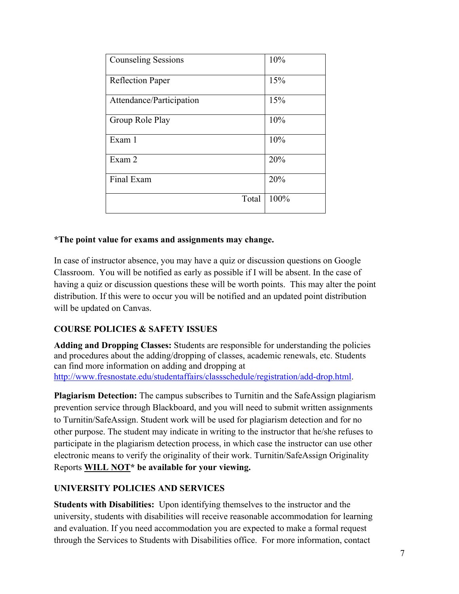| <b>Counseling Sessions</b> | 10%  |
|----------------------------|------|
| <b>Reflection Paper</b>    | 15%  |
| Attendance/Participation   | 15%  |
| Group Role Play            | 10%  |
| Exam 1                     | 10%  |
| Exam 2                     | 20%  |
| Final Exam                 | 20%  |
| Total                      | 100% |

#### **\*The point value for exams and assignments may change.**

In case of instructor absence, you may have a quiz or discussion questions on Google Classroom. You will be notified as early as possible if I will be absent. In the case of having a quiz or discussion questions these will be worth points. This may alter the point distribution. If this were to occur you will be notified and an updated point distribution will be updated on Canvas.

#### **COURSE POLICIES & SAFETY ISSUES**

**Adding and Dropping Classes:** Students are responsible for understanding the policies and procedures about the adding/dropping of classes, academic renewals, etc. Students can find more information on adding and dropping at http://www.fresnostate.edu/studentaffairs/classschedule/registration/add-drop.html.

**Plagiarism Detection:** The campus subscribes to Turnitin and the SafeAssign plagiarism prevention service through Blackboard, and you will need to submit written assignments to Turnitin/SafeAssign. Student work will be used for plagiarism detection and for no other purpose. The student may indicate in writing to the instructor that he/she refuses to participate in the plagiarism detection process, in which case the instructor can use other electronic means to verify the originality of their work. Turnitin/SafeAssign Originality Reports **WILL NOT\* be available for your viewing.**

#### **UNIVERSITY POLICIES AND SERVICES**

**Students with Disabilities:** Upon identifying themselves to the instructor and the university, students with disabilities will receive reasonable accommodation for learning and evaluation. If you need accommodation you are expected to make a formal request through the Services to Students with Disabilities office. For more information, contact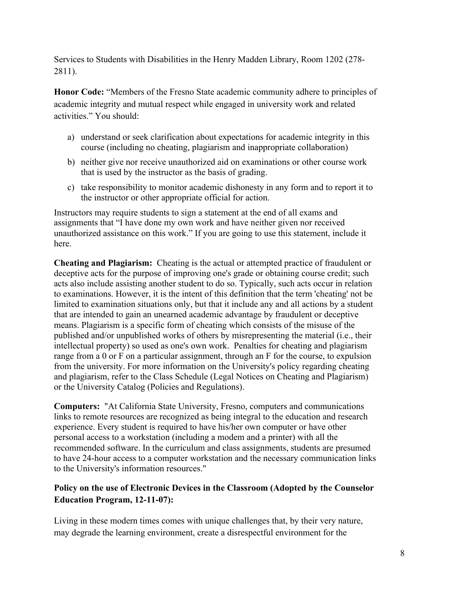Services to Students with Disabilities in the Henry Madden Library, Room 1202 (278- 2811).

**Honor Code:** "Members of the Fresno State academic community adhere to principles of academic integrity and mutual respect while engaged in university work and related activities." You should:

- a) understand or seek clarification about expectations for academic integrity in this course (including no cheating, plagiarism and inappropriate collaboration)
- b) neither give nor receive unauthorized aid on examinations or other course work that is used by the instructor as the basis of grading.
- c) take responsibility to monitor academic dishonesty in any form and to report it to the instructor or other appropriate official for action.

Instructors may require students to sign a statement at the end of all exams and assignments that "I have done my own work and have neither given nor received unauthorized assistance on this work." If you are going to use this statement, include it here.

**Cheating and Plagiarism:** Cheating is the actual or attempted practice of fraudulent or deceptive acts for the purpose of improving one's grade or obtaining course credit; such acts also include assisting another student to do so. Typically, such acts occur in relation to examinations. However, it is the intent of this definition that the term 'cheating' not be limited to examination situations only, but that it include any and all actions by a student that are intended to gain an unearned academic advantage by fraudulent or deceptive means. Plagiarism is a specific form of cheating which consists of the misuse of the published and/or unpublished works of others by misrepresenting the material (i.e., their intellectual property) so used as one's own work. Penalties for cheating and plagiarism range from a 0 or F on a particular assignment, through an F for the course, to expulsion from the university. For more information on the University's policy regarding cheating and plagiarism, refer to the Class Schedule (Legal Notices on Cheating and Plagiarism) or the University Catalog (Policies and Regulations).

**Computers:** "At California State University, Fresno, computers and communications links to remote resources are recognized as being integral to the education and research experience. Every student is required to have his/her own computer or have other personal access to a workstation (including a modem and a printer) with all the recommended software. In the curriculum and class assignments, students are presumed to have 24-hour access to a computer workstation and the necessary communication links to the University's information resources."

## **Policy on the use of Electronic Devices in the Classroom (Adopted by the Counselor Education Program, 12-11-07):**

Living in these modern times comes with unique challenges that, by their very nature, may degrade the learning environment, create a disrespectful environment for the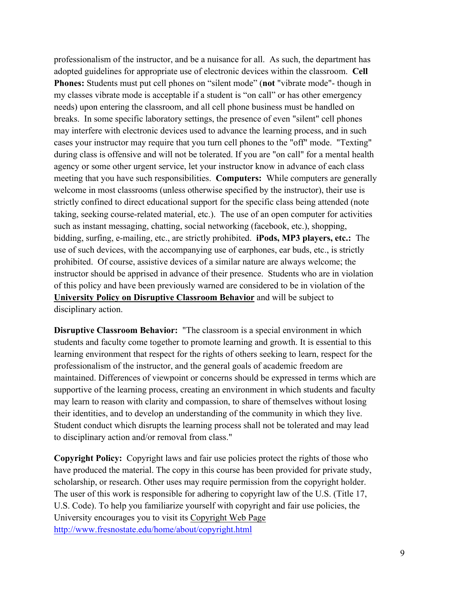professionalism of the instructor, and be a nuisance for all. As such, the department has adopted guidelines for appropriate use of electronic devices within the classroom. **Cell Phones:** Students must put cell phones on "silent mode" (**not** "vibrate mode"- though in my classes vibrate mode is acceptable if a student is "on call" or has other emergency needs) upon entering the classroom, and all cell phone business must be handled on breaks. In some specific laboratory settings, the presence of even "silent" cell phones may interfere with electronic devices used to advance the learning process, and in such cases your instructor may require that you turn cell phones to the "off" mode. "Texting" during class is offensive and will not be tolerated. If you are "on call" for a mental health agency or some other urgent service, let your instructor know in advance of each class meeting that you have such responsibilities. **Computers:** While computers are generally welcome in most classrooms (unless otherwise specified by the instructor), their use is strictly confined to direct educational support for the specific class being attended (note taking, seeking course-related material, etc.). The use of an open computer for activities such as instant messaging, chatting, social networking (facebook, etc.), shopping, bidding, surfing, e-mailing, etc., are strictly prohibited. **iPods, MP3 players, etc.:** The use of such devices, with the accompanying use of earphones, ear buds, etc., is strictly prohibited. Of course, assistive devices of a similar nature are always welcome; the instructor should be apprised in advance of their presence. Students who are in violation of this policy and have been previously warned are considered to be in violation of the **University Policy on Disruptive Classroom Behavior** and will be subject to disciplinary action.

**Disruptive Classroom Behavior:** "The classroom is a special environment in which students and faculty come together to promote learning and growth. It is essential to this learning environment that respect for the rights of others seeking to learn, respect for the professionalism of the instructor, and the general goals of academic freedom are maintained. Differences of viewpoint or concerns should be expressed in terms which are supportive of the learning process, creating an environment in which students and faculty may learn to reason with clarity and compassion, to share of themselves without losing their identities, and to develop an understanding of the community in which they live. Student conduct which disrupts the learning process shall not be tolerated and may lead to disciplinary action and/or removal from class."

**Copyright Policy:** Copyright laws and fair use policies protect the rights of those who have produced the material. The copy in this course has been provided for private study, scholarship, or research. Other uses may require permission from the copyright holder. The user of this work is responsible for adhering to copyright law of the U.S. (Title 17, U.S. Code). To help you familiarize yourself with copyright and fair use policies, the University encourages you to visit its Copyright Web Page http://www.fresnostate.edu/home/about/copyright.html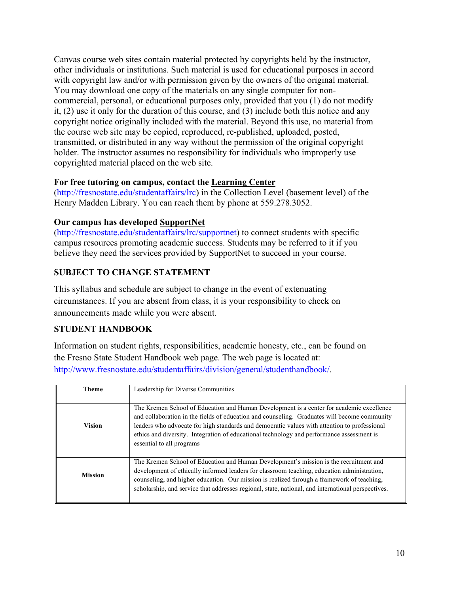Canvas course web sites contain material protected by copyrights held by the instructor, other individuals or institutions. Such material is used for educational purposes in accord with copyright law and/or with permission given by the owners of the original material. You may download one copy of the materials on any single computer for noncommercial, personal, or educational purposes only, provided that you (1) do not modify it, (2) use it only for the duration of this course, and (3) include both this notice and any copyright notice originally included with the material. Beyond this use, no material from the course web site may be copied, reproduced, re-published, uploaded, posted, transmitted, or distributed in any way without the permission of the original copyright holder. The instructor assumes no responsibility for individuals who improperly use copyrighted material placed on the web site.

#### **For free tutoring on campus, contact the Learning Center**

(http://fresnostate.edu/studentaffairs/lrc) in the Collection Level (basement level) of the Henry Madden Library. You can reach them by phone at 559.278.3052.

#### **Our campus has developed SupportNet**

(http://fresnostate.edu/studentaffairs/lrc/supportnet) to connect students with specific campus resources promoting academic success. Students may be referred to it if you believe they need the services provided by SupportNet to succeed in your course.

## **SUBJECT TO CHANGE STATEMENT**

This syllabus and schedule are subject to change in the event of extenuating circumstances. If you are absent from class, it is your responsibility to check on announcements made while you were absent.

## **STUDENT HANDBOOK**

Information on student rights, responsibilities, academic honesty, etc., can be found on the Fresno State Student Handbook web page. The web page is located at: http://www.fresnostate.edu/studentaffairs/division/general/studenthandbook/.

| <b>Theme</b>   | Leadership for Diverse Communities                                                                                                                                                                                                                                                                                                                                                                                 |
|----------------|--------------------------------------------------------------------------------------------------------------------------------------------------------------------------------------------------------------------------------------------------------------------------------------------------------------------------------------------------------------------------------------------------------------------|
| <b>Vision</b>  | The Kremen School of Education and Human Development is a center for academic excellence<br>and collaboration in the fields of education and counseling. Graduates will become community<br>leaders who advocate for high standards and democratic values with attention to professional<br>ethics and diversity. Integration of educational technology and performance assessment is<br>essential to all programs |
| <b>Mission</b> | The Kremen School of Education and Human Development's mission is the recruitment and<br>development of ethically informed leaders for classroom teaching, education administration,<br>counseling, and higher education. Our mission is realized through a framework of teaching.<br>scholarship, and service that addresses regional, state, national, and international perspectives.                           |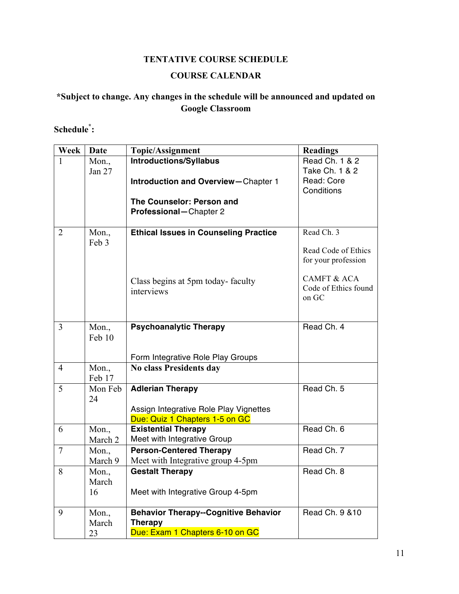## **TENTATIVE COURSE SCHEDULE**

## **COURSE CALENDAR**

## **\*Subject to change. Any changes in the schedule will be announced and updated on Google Classroom**

#### **Schedule\* :**

| Week           | <b>Date</b>    | <b>Topic/Assignment</b>                      | <b>Readings</b>               |
|----------------|----------------|----------------------------------------------|-------------------------------|
| $\mathbf{1}$   | $Mon.$ ,       | <b>Introductions/Syllabus</b>                | Read Ch. 1 & 2                |
|                | Jan 27         |                                              | Take Ch. 1 & 2                |
|                |                | <b>Introduction and Overview-Chapter 1</b>   | Read: Core                    |
|                |                |                                              | Conditions                    |
|                |                | The Counselor: Person and                    |                               |
|                |                | Professional-Chapter 2                       |                               |
| $\overline{2}$ |                | <b>Ethical Issues in Counseling Practice</b> | Read Ch. 3                    |
|                | Mon.,<br>Feb 3 |                                              |                               |
|                |                |                                              | Read Code of Ethics           |
|                |                |                                              | for your profession           |
|                |                |                                              |                               |
|                |                | Class begins at 5pm today-faculty            | <b>CAMFT &amp; ACA</b>        |
|                |                | interviews                                   | Code of Ethics found<br>on GC |
|                |                |                                              |                               |
|                |                |                                              |                               |
| $\overline{3}$ | Mon.,          | <b>Psychoanalytic Therapy</b>                | Read Ch. 4                    |
|                | Feb 10         |                                              |                               |
|                |                |                                              |                               |
|                |                | Form Integrative Role Play Groups            |                               |
| $\overline{4}$ | Mon.,          | No class Presidents day                      |                               |
|                | Feb 17         |                                              |                               |
| 5              | Mon Feb        | <b>Adlerian Therapy</b>                      | Read Ch. 5                    |
|                | 24             | Assign Integrative Role Play Vignettes       |                               |
|                |                | Due: Quiz 1 Chapters 1-5 on GC               |                               |
| 6              | Mon.,          | <b>Existential Therapy</b>                   | Read Ch. 6                    |
|                | March 2        | Meet with Integrative Group                  |                               |
| $\overline{7}$ | Mon.,          | <b>Person-Centered Therapy</b>               | Read Ch. 7                    |
|                | March 9        | Meet with Integrative group 4-5pm            |                               |
| 8              | Mon.           | <b>Gestalt Therapy</b>                       | Read Ch. 8                    |
|                | March          |                                              |                               |
|                | 16             | Meet with Integrative Group 4-5pm            |                               |
|                |                |                                              |                               |
| 9              | $Mon.$ ,       | <b>Behavior Therapy--Cognitive Behavior</b>  | Read Ch. 9 & 10               |
|                | March          | <b>Therapy</b>                               |                               |
|                | 23             | Due: Exam 1 Chapters 6-10 on GC              |                               |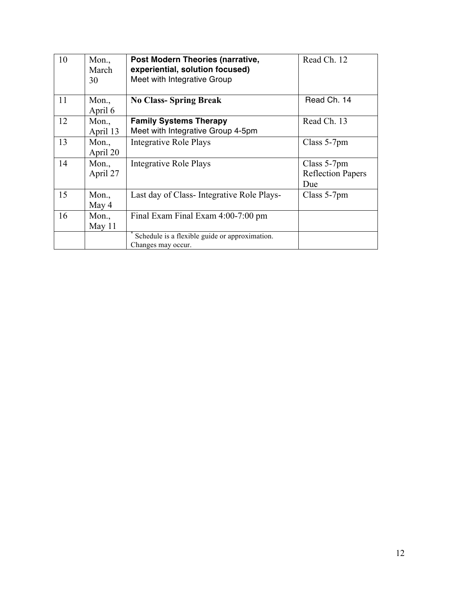| 10 | Mon.,<br>March<br>30 | Post Modern Theories (narrative,<br>experiential, solution focused)<br>Meet with Integrative Group | Read Ch. 12                                    |
|----|----------------------|----------------------------------------------------------------------------------------------------|------------------------------------------------|
| 11 | $Mon.$ ,<br>April 6  | <b>No Class-Spring Break</b>                                                                       | Read Ch. 14                                    |
| 12 | $Mon.$ ,<br>April 13 | <b>Family Systems Therapy</b><br>Meet with Integrative Group 4-5pm                                 | Read Ch. 13                                    |
| 13 | $Mon.$ ,<br>April 20 | <b>Integrative Role Plays</b>                                                                      | Class 5-7pm                                    |
| 14 | $Mon.$ ,<br>April 27 | <b>Integrative Role Plays</b>                                                                      | Class 5-7pm<br><b>Reflection Papers</b><br>Due |
| 15 | $Mon.$ ,<br>May 4    | Last day of Class-Integrative Role Plays-                                                          | Class 5-7pm                                    |
| 16 | Mon.,<br>May $11$    | Final Exam Final Exam 4:00-7:00 pm                                                                 |                                                |
|    |                      | Schedule is a flexible guide or approximation.<br>Changes may occur.                               |                                                |